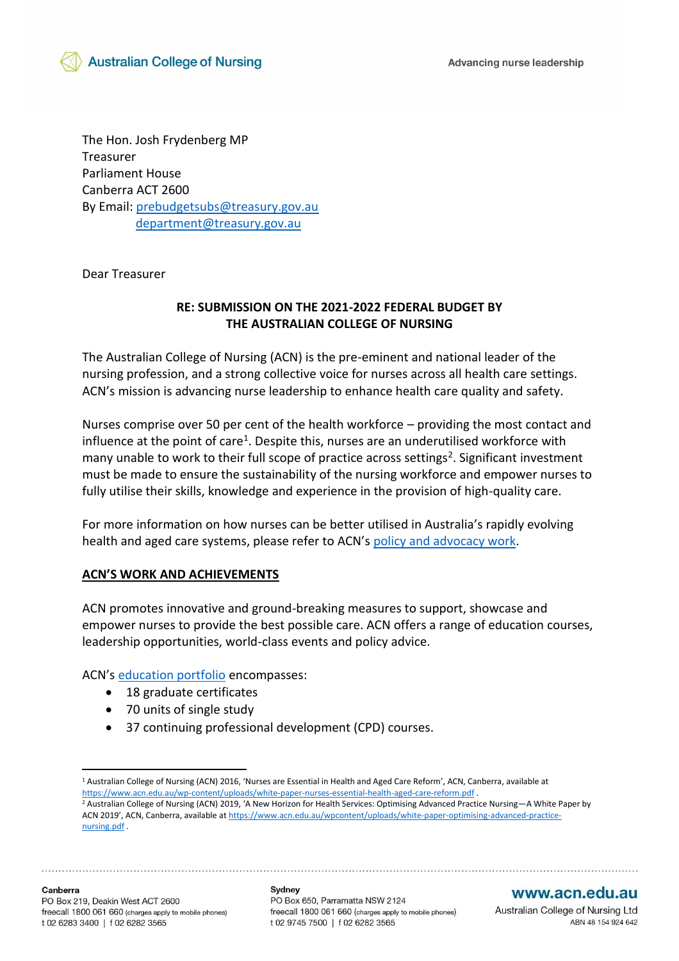

The Hon. Josh Frydenberg MP Treasurer Parliament House Canberra ACT 2600 By Email: [prebudgetsubs@treasury.gov.au](mailto:prebudgetsubs@treasury.gov.au) [department@treasury.gov.au](mailto:department@treasury.gov.au)

Dear Treasurer

### **RE: SUBMISSION ON THE 2021-2022 FEDERAL BUDGET BY THE AUSTRALIAN COLLEGE OF NURSING**

The Australian College of Nursing (ACN) is the pre-eminent and national leader of the nursing profession, and a strong collective voice for nurses across all health care settings. ACN's mission is advancing nurse leadership to enhance health care quality and safety.

Nurses comprise over 50 per cent of the health workforce – providing the most contact and influence at the point of care<sup>1</sup>. Despite this, nurses are an underutilised workforce with many unable to work to their full scope of practice across settings<sup>2</sup>. Significant investment must be made to ensure the sustainability of the nursing workforce and empower nurses to fully utilise their skills, knowledge and experience in the provision of high-quality care.

For more information on how nurses can be better utilised in Australia's rapidly evolving health and aged care systems, please refer to ACN's [policy and advocacy work.](https://www.acn.edu.au/policy)

#### **ACN'S WORK AND ACHIEVEMENTS**

ACN promotes innovative and ground-breaking measures to support, showcase and empower nurses to provide the best possible care. ACN offers a range of education courses, leadership opportunities, world-class events and policy advice.

ACN's [education portfolio](https://www.acn.edu.au/education) encompasses:

- 18 graduate certificates
- 70 units of single study
- 37 continuing professional development (CPD) courses.

#### www.acn.edu.au

Australian College of Nursing Ltd ABN 48 154 924 642

<sup>1</sup> Australian College of Nursing (ACN) 2016, 'Nurses are Essential in Health and Aged Care Reform', ACN, Canberra, available at <https://www.acn.edu.au/wp-content/uploads/white-paper-nurses-essential-health-aged-care-reform.pdf> . <sup>2</sup> Australian College of Nursing (ACN) 2019, 'A New Horizon for Health Services: Optimising Advanced Practice Nursing—A White Paper by ACN 2019', ACN, Canberra, available at [https://www.acn.edu.au/wpcontent/uploads/white-paper-optimising-advanced-practice](https://www.acn.edu.au/wpcontent/uploads/white-paper-optimising-advanced-practice-nursing.pdf)[nursing.pdf](https://www.acn.edu.au/wpcontent/uploads/white-paper-optimising-advanced-practice-nursing.pdf) .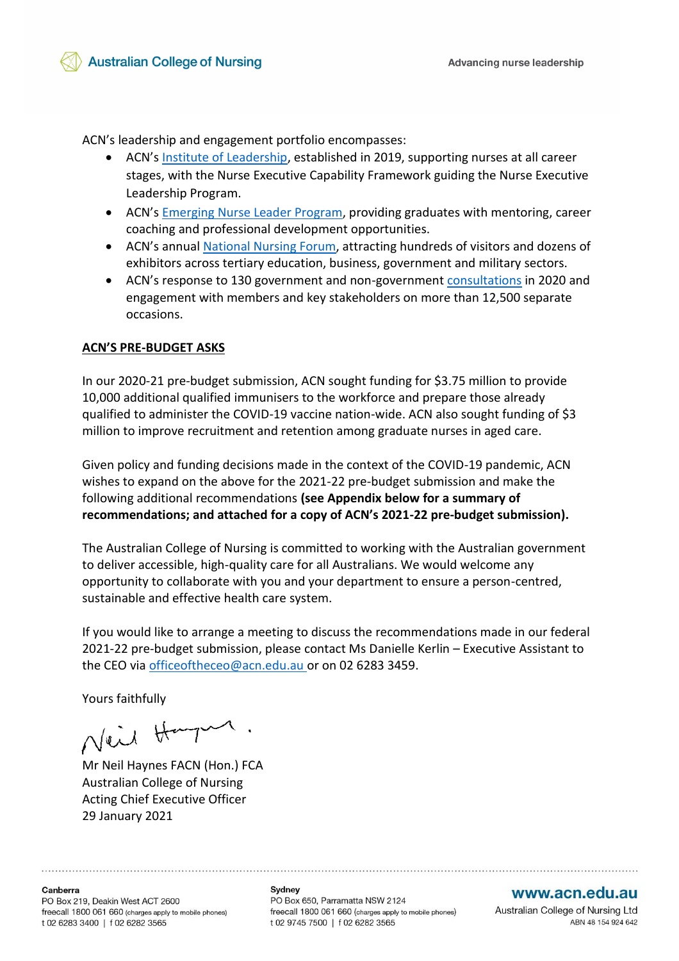ACN's leadership and engagement portfolio encompasses:

- ACN's [Institute of Leadership,](https://www.acn.edu.au/leadership) established in 2019, supporting nurses at all career stages, with the Nurse Executive Capability Framework guiding the Nurse Executive Leadership Program.
- ACN's [Emerging Nurse Leader Program,](https://www.acn.edu.au/leadership/emerging-nurse-leader-program) providing graduates with mentoring, career coaching and professional development opportunities.
- ACN's annual [National Nursing Forum,](https://www.acn.edu.au/events/national-nursing-forum) attracting hundreds of visitors and dozens of exhibitors across tertiary education, business, government and military sectors.
- ACN's response to 130 government and non-government [consultations](https://www.acn.edu.au/policy/policy-submissions) in 2020 and engagement with members and key stakeholders on more than 12,500 separate occasions.

#### **ACN'S PRE-BUDGET ASKS**

In our 2020-21 pre-budget submission, ACN sought funding for \$3.75 million to provide 10,000 additional qualified immunisers to the workforce and prepare those already qualified to administer the COVID-19 vaccine nation-wide. ACN also sought funding of \$3 million to improve recruitment and retention among graduate nurses in aged care.

Given policy and funding decisions made in the context of the COVID-19 pandemic, ACN wishes to expand on the above for the 2021-22 pre-budget submission and make the following additional recommendations **(see Appendix below for a summary of recommendations; and attached for a copy of ACN's 2021-22 pre-budget submission).**

The Australian College of Nursing is committed to working with the Australian government to deliver accessible, high-quality care for all Australians. We would welcome any opportunity to collaborate with you and your department to ensure a person-centred, sustainable and effective health care system.

If you would like to arrange a meeting to discuss the recommendations made in our federal 2021-22 pre-budget submission, please contact Ms Danielle Kerlin – Executive Assistant to the CEO via [officeoftheceo@acn.edu.au](mailto:officeoftheceo@acn.edu.au) or on 02 6283 3459.

Yours faithfully

Neil Harper.

Mr Neil Haynes FACN (Hon.) FCA Australian College of Nursing Acting Chief Executive Officer 29 January 2021

Sydney PO Box 650, Parramatta NSW 2124 freecall 1800 061 660 (charges apply to mobile phones) t 02 9745 7500 | f 02 6282 3565

#### www.acn.edu.au

Australian College of Nursing Ltd ABN 48 154 924 642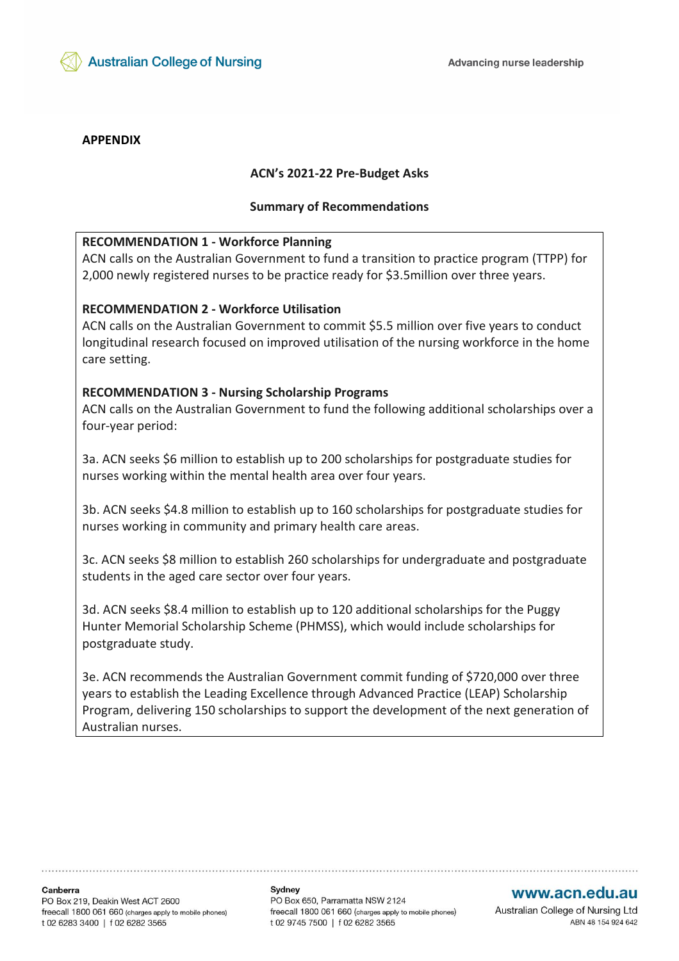

#### **APPENDIX**

#### **ACN's 2021-22 Pre-Budget Asks**

#### **Summary of Recommendations**

#### **RECOMMENDATION 1 - Workforce Planning**

ACN calls on the Australian Government to fund a transition to practice program (TTPP) for 2,000 newly registered nurses to be practice ready for \$3.5million over three years.

#### **RECOMMENDATION 2 - Workforce Utilisation**

ACN calls on the Australian Government to commit \$5.5 million over five years to conduct longitudinal research focused on improved utilisation of the nursing workforce in the home care setting.

#### **RECOMMENDATION 3 - Nursing Scholarship Programs**

ACN calls on the Australian Government to fund the following additional scholarships over a four-year period:

3a. ACN seeks \$6 million to establish up to 200 scholarships for postgraduate studies for nurses working within the mental health area over four years.

3b. ACN seeks \$4.8 million to establish up to 160 scholarships for postgraduate studies for nurses working in community and primary health care areas.

3c. ACN seeks \$8 million to establish 260 scholarships for undergraduate and postgraduate students in the aged care sector over four years.

3d. ACN seeks \$8.4 million to establish up to 120 additional scholarships for the Puggy Hunter Memorial Scholarship Scheme (PHMSS), which would include scholarships for postgraduate study.

3e. ACN recommends the Australian Government commit funding of \$720,000 over three years to establish the Leading Excellence through Advanced Practice (LEAP) Scholarship Program, delivering 150 scholarships to support the development of the next generation of Australian nurses.

Canberra PO Box 219, Deakin West ACT 2600 freecall 1800 061 660 (charges apply to mobile phones) t 02 6283 3400 | f 02 6282 3565

Sydney PO Box 650, Parramatta NSW 2124 freecall 1800 061 660 (charges apply to mobile phones) t 02 9745 7500 | f 02 6282 3565

#### www.acn.edu.au

Australian College of Nursing Ltd ABN 48 154 924 642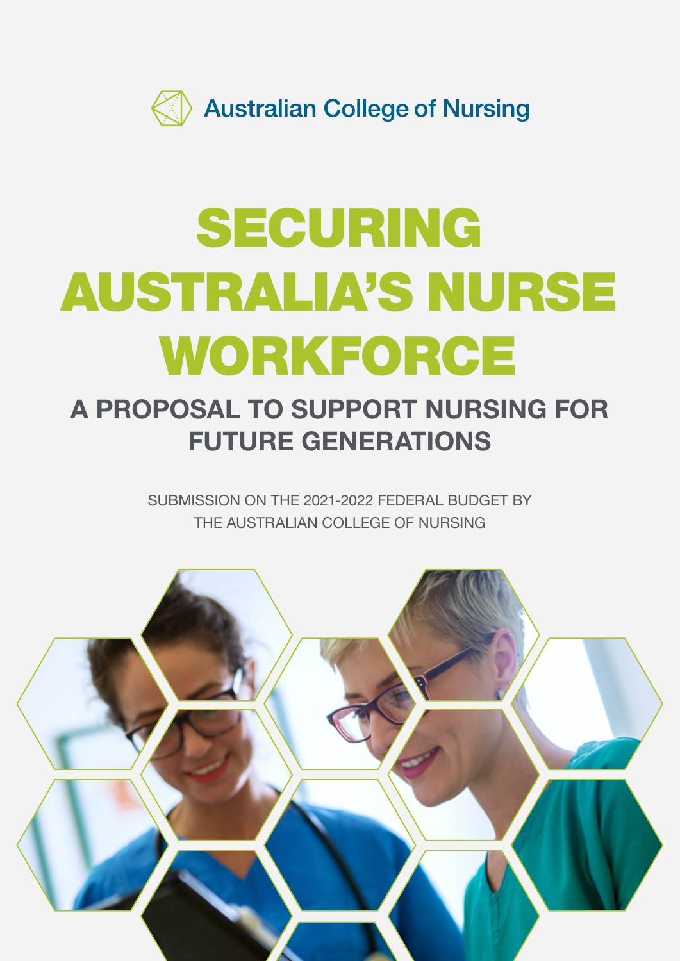

# SECURING AUSTRALIA'S NURSE WORKFORCE

## A PROPOSAL TO SUPPORT NURSING FOR FUTURE GENERATIONS

SUBMISSION ON THE 2021-2022 FEDERAL BUDGET BY THE AUSTRALIAN COLLEGE OF NURSING

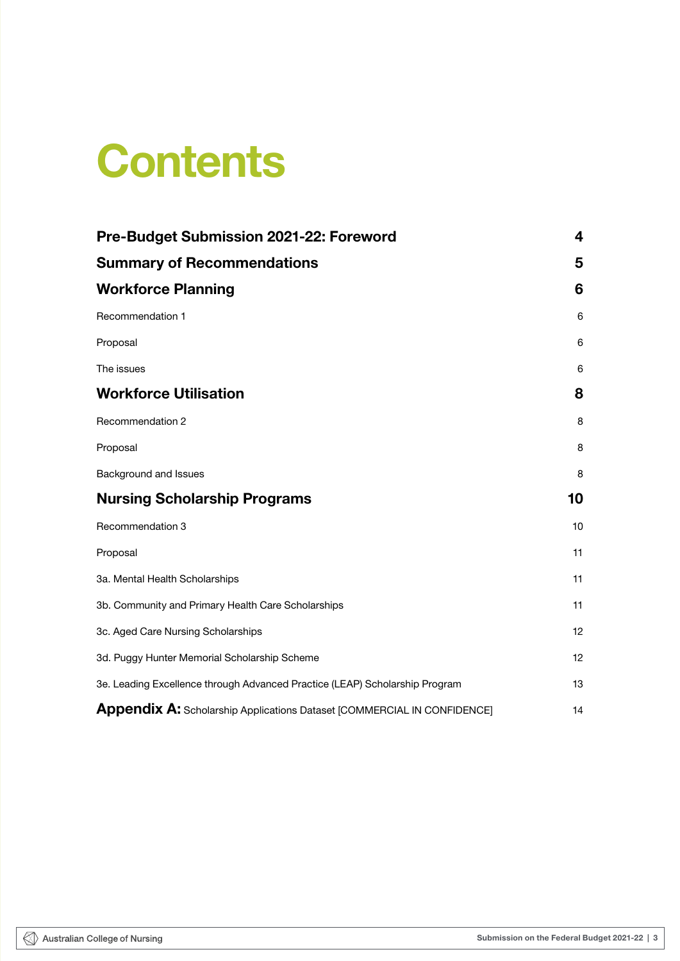## **Contents**

| Pre-Budget Submission 2021-22: Foreword                                     | 4      |
|-----------------------------------------------------------------------------|--------|
| <b>Summary of Recommendations</b><br><b>Workforce Planning</b>              | 5<br>6 |
|                                                                             |        |
| Proposal                                                                    | 6      |
| The issues                                                                  | 6      |
| <b>Workforce Utilisation</b>                                                | 8      |
| Recommendation 2                                                            | 8      |
| Proposal                                                                    | 8      |
| Background and Issues                                                       | 8      |
| <b>Nursing Scholarship Programs</b>                                         | 10     |
| Recommendation 3                                                            | 10     |
| Proposal                                                                    | 11     |
| 3a. Mental Health Scholarships                                              | 11     |
| 3b. Community and Primary Health Care Scholarships                          | 11     |
| 3c. Aged Care Nursing Scholarships                                          | 12     |
| 3d. Puggy Hunter Memorial Scholarship Scheme                                | 12     |
| 3e. Leading Excellence through Advanced Practice (LEAP) Scholarship Program | 13     |
| Appendix A: Scholarship Applications Dataset [COMMERCIAL IN CONFIDENCE]     | 14     |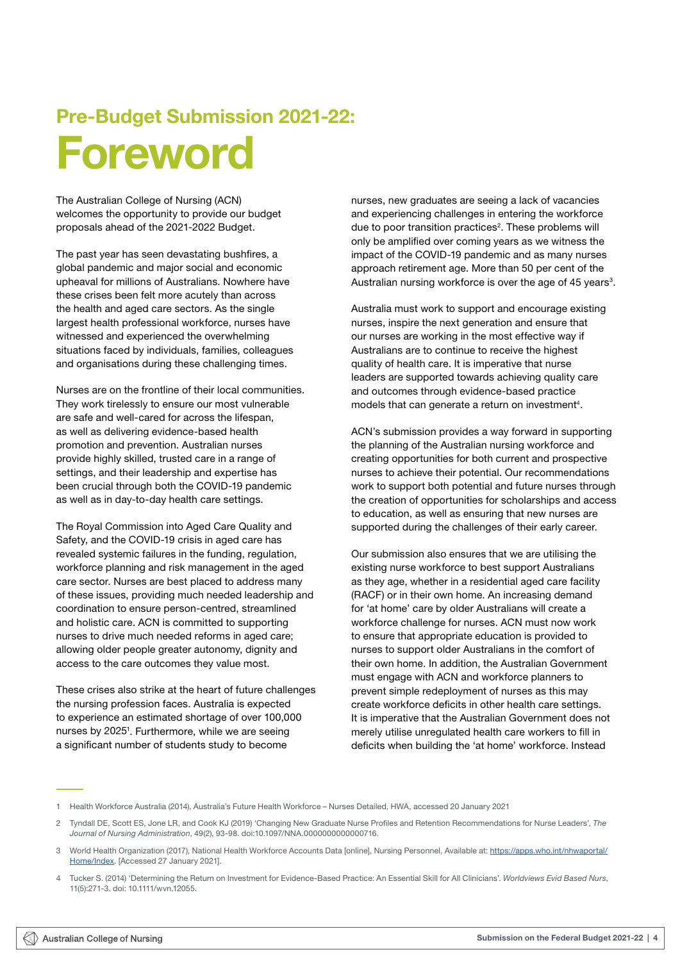## Pre-Budget Submission 2021-22: Foreword

The Australian College of Nursing (ACN) welcomes the opportunity to provide our budget proposals ahead of the 2021-2022 Budget.

The past year has seen devastating bushfires, a global pandemic and major social and economic upheaval for millions of Australians. Nowhere have these crises been felt more acutely than across the health and aged care sectors. As the single largest health professional workforce, nurses have witnessed and experienced the overwhelming situations faced by individuals, families, colleagues and organisations during these challenging times.

Nurses are on the frontline of their local communities. They work tirelessly to ensure our most vulnerable are safe and well-cared for across the lifespan, as well as delivering evidence-based health promotion and prevention. Australian nurses provide highly skilled, trusted care in a range of settings, and their leadership and expertise has been crucial through both the COVID-19 pandemic as well as in day-to-day health care settings.

The Royal Commission into Aged Care Quality and Safety, and the COVID-19 crisis in aged care has revealed systemic failures in the funding, regulation, workforce planning and risk management in the aged care sector. Nurses are best placed to address many of these issues, providing much needed leadership and coordination to ensure person-centred, streamlined and holistic care. ACN is committed to supporting nurses to drive much needed reforms in aged care; allowing older people greater autonomy, dignity and access to the care outcomes they value most.

These crises also strike at the heart of future challenges the nursing profession faces. Australia is expected to experience an estimated shortage of over 100,000 nurses by 2025<sup>1</sup>. Furthermore, while we are seeing a significant number of students study to become

nurses, new graduates are seeing a lack of vacancies and experiencing challenges in entering the workforce due to poor transition practices<sup>2</sup>. These problems will only be amplified over coming years as we witness the impact of the COVID-19 pandemic and as many nurses approach retirement age. More than 50 per cent of the Australian nursing workforce is over the age of 45 years<sup>3</sup>.

Australia must work to support and encourage existing nurses, inspire the next generation and ensure that our nurses are working in the most effective way if Australians are to continue to receive the highest quality of health care. It is imperative that nurse leaders are supported towards achieving quality care and outcomes through evidence-based practice models that can generate a return on investment<sup>4</sup>.

ACN's submission provides a way forward in supporting the planning of the Australian nursing workforce and creating opportunities for both current and prospective nurses to achieve their potential. Our recommendations work to support both potential and future nurses through the creation of opportunities for scholarships and access to education, as well as ensuring that new nurses are supported during the challenges of their early career.

Our submission also ensures that we are utilising the existing nurse workforce to best support Australians as they age, whether in a residential aged care facility (RACF) or in their own home. An increasing demand for 'at home' care by older Australians will create a workforce challenge for nurses. ACN must now work to ensure that appropriate education is provided to nurses to support older Australians in the comfort of their own home. In addition, the Australian Government must engage with ACN and workforce planners to prevent simple redeployment of nurses as this may create workforce deficits in other health care settings. It is imperative that the Australian Government does not merely utilise unregulated health care workers to fill in deficits when building the 'at home' workforce. Instead

<sup>1</sup> Health Workforce Australia (2014), Australia's Future Health Workforce – Nurses Detailed, HWA, accessed 20 January 2021

<sup>2</sup> Tyndall DE, Scott ES, Jone LR, and Cook KJ (2019) 'Changing New Graduate Nurse Profiles and Retention Recommendations for Nurse Leaders', *The Journal of Nursing Administration*, 49(2), 93-98. doi:10.1097/NNA.0000000000000716.

<sup>3</sup> World Health Organization (2017), National Health Workforce Accounts Data [online], Nursing Personnel, Available at: [https://apps.who.int/nhwaportal/](https://apps.who.int/nhwaportal/Home/Index) [Home/Index.](https://apps.who.int/nhwaportal/Home/Index) [Accessed 27 January 2021].

<sup>4</sup> Tucker S. (2014) 'Determining the Return on Investment for Evidence‐Based Practice: An Essential Skill for All Clinicians'. *Worldviews Evid Based Nurs*, 11(5):271-3. doi: 10.1111/wvn.12055.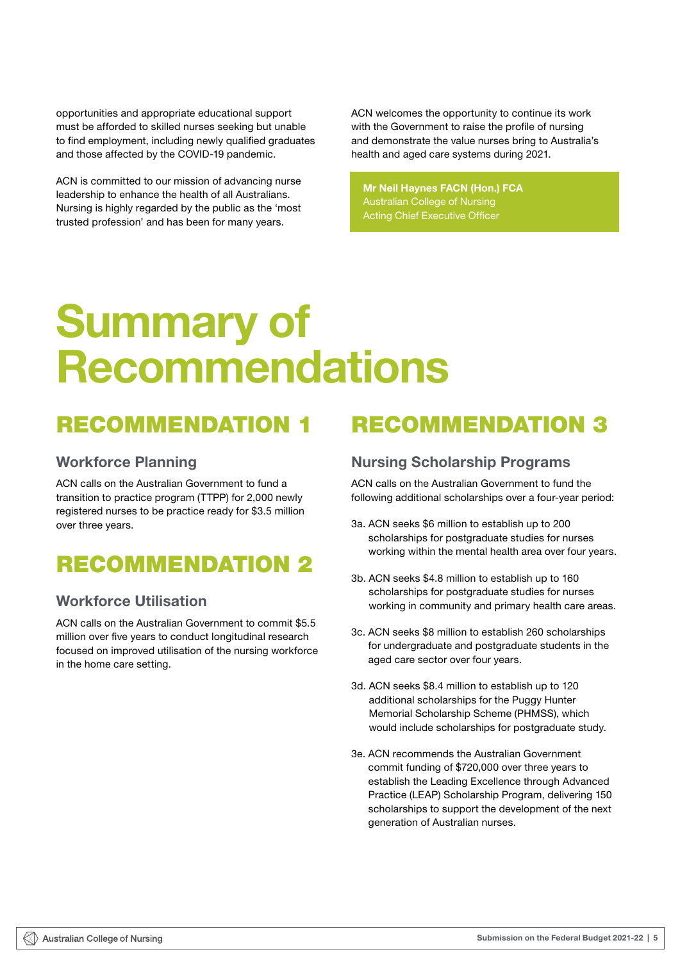<span id="page-7-0"></span>opportunities and appropriate educational support must be afforded to skilled nurses seeking but unable to find employment, including newly qualified graduates and those affected by the COVID-19 pandemic.

ACN is committed to our mission of advancing nurse leadership to enhance the health of all Australians. Nursing is highly regarded by the public as the 'most trusted profession' and has been for many years.

ACN welcomes the opportunity to continue its work with the Government to raise the profile of nursing and demonstrate the value nurses bring to Australia's health and aged care systems during 2021.

*Mr Neil Haynes FACN (Hon.) FCA* Mr Neil Haynes FACN (Hon.) FCA *Australian College of Nursing*  Australian College of Nursing *Acting Chief Executive Officer* Acting Chief Executive Officer

## Summary of **Recommendations**

## RECOMMENDATION 1

### Workforce Planning

ACN calls on the Australian Government to fund a transition to practice program (TTPP) for 2,000 newly registered nurses to be practice ready for \$3.5 million over three years.

## RECOMMENDATION 2

## Workforce Utilisation

ACN calls on the Australian Government to commit \$5.5 million over five years to conduct longitudinal research focused on improved utilisation of the nursing workforce in the home care setting.

## RECOMMENDATION 3

## Nursing Scholarship Programs

ACN calls on the Australian Government to fund the following additional scholarships over a four-year period:

- 3a. ACN seeks \$6 million to establish up to 200 scholarships for postgraduate studies for nurses working within the mental health area over four years.
- 3b. ACN seeks \$4.8 million to establish up to 160 scholarships for postgraduate studies for nurses working in community and primary health care areas.
- 3c. ACN seeks \$8 million to establish 260 scholarships for undergraduate and postgraduate students in the aged care sector over four years.
- 3d. ACN seeks \$8.4 million to establish up to 120 additional scholarships for the Puggy Hunter Memorial Scholarship Scheme (PHMSS), which would include scholarships for postgraduate study.
- 3e. ACN recommends the Australian Government commit funding of \$720,000 over three years to establish the Leading Excellence through Advanced Practice (LEAP) Scholarship Program, delivering 150 scholarships to support the development of the next generation of Australian nurses.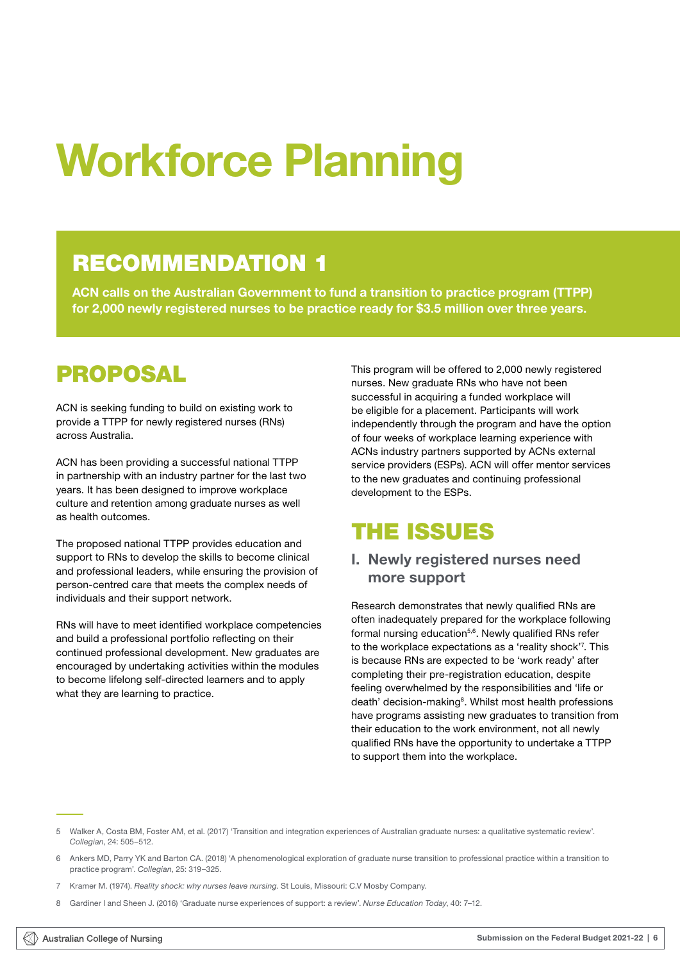# <span id="page-8-0"></span>Workforce Planning

## RECOMMENDATION 1

ACN calls on the Australian Government to fund a transition to practice program (TTPP) for 2,000 newly registered nurses to be practice ready for \$3.5 million over three years.

## PROPOSAL

ACN is seeking funding to build on existing work to provide a TTPP for newly registered nurses (RNs) across Australia.

ACN has been providing a successful national TTPP in partnership with an industry partner for the last two years. It has been designed to improve workplace culture and retention among graduate nurses as well as health outcomes.

The proposed national TTPP provides education and support to RNs to develop the skills to become clinical and professional leaders, while ensuring the provision of person-centred care that meets the complex needs of individuals and their support network.

RNs will have to meet identified workplace competencies and build a professional portfolio reflecting on their continued professional development. New graduates are encouraged by undertaking activities within the modules to become lifelong self-directed learners and to apply what they are learning to practice.

This program will be offered to 2,000 newly registered nurses. New graduate RNs who have not been successful in acquiring a funded workplace will be eligible for a placement. Participants will work independently through the program and have the option of four weeks of workplace learning experience with ACNs industry partners supported by ACNs external service providers (ESPs). ACN will offer mentor services to the new graduates and continuing professional development to the ESPs.

## THE ISSUES

## I. Newly registered nurses need more support

Research demonstrates that newly qualified RNs are often inadequately prepared for the workplace following formal nursing education<sup>5,6</sup>. Newly qualified RNs refer to the workplace expectations as a 'reality shock'7 . This is because RNs are expected to be 'work ready' after completing their pre-registration education, despite feeling overwhelmed by the responsibilities and 'life or death' decision-making<sup>8</sup>. Whilst most health professions have programs assisting new graduates to transition from their education to the work environment, not all newly qualified RNs have the opportunity to undertake a TTPP to support them into the workplace.

<sup>5</sup> Walker A, Costa BM, Foster AM, et al. (2017) 'Transition and integration experiences of Australian graduate nurses: a qualitative systematic review'. *Collegian*, 24: 505–512.

<sup>6</sup> Ankers MD, Parry YK and Barton CA. (2018) 'A phenomenological exploration of graduate nurse transition to professional practice within a transition to practice program'. *Collegian*, 25: 319–325.

<sup>7</sup> Kramer M. (1974). *Reality shock: why nurses leave nursing*. St Louis, Missouri: C.V Mosby Company.

<sup>8</sup> Gardiner I and Sheen J. (2016) 'Graduate nurse experiences of support: a review'. *Nurse Education Today*, 40: 7–12.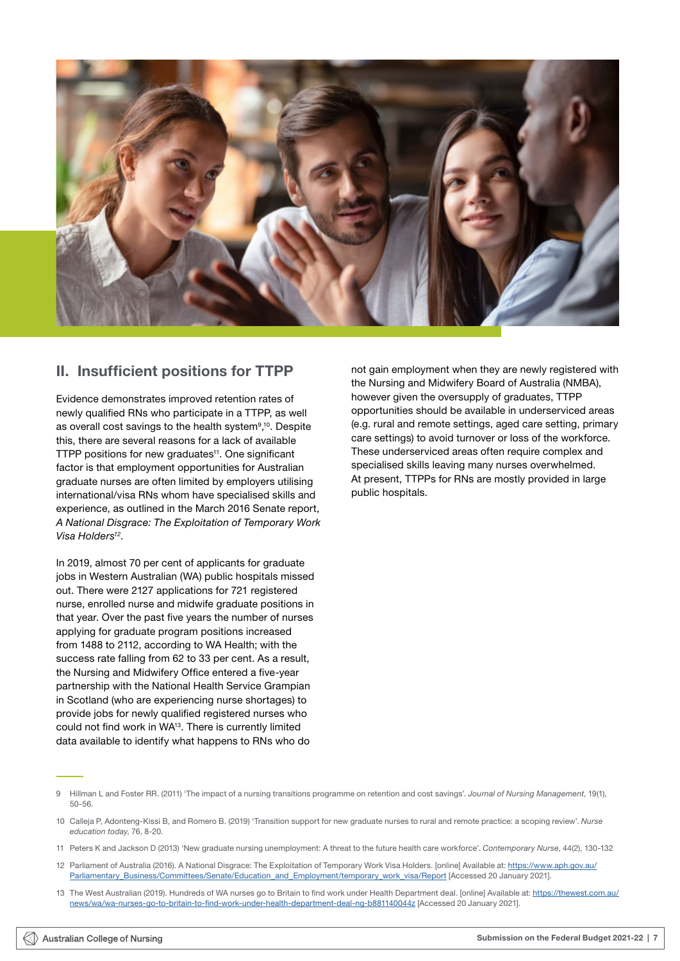

### II. Insufficient positions for TTPP

Evidence demonstrates improved retention rates of newly qualified RNs who participate in a TTPP, as well as overall cost savings to the health system<sup>9,10</sup>. Despite this, there are several reasons for a lack of available TTPP positions for new graduates<sup>11</sup>. One significant factor is that employment opportunities for Australian graduate nurses are often limited by employers utilising international/visa RNs whom have specialised skills and experience, as outlined in the March 2016 Senate report, *A National Disgrace: The Exploitation of Temporary Work Visa Holders12*.

In 2019, almost 70 per cent of applicants for graduate jobs in Western Australian (WA) public hospitals missed out. There were 2127 applications for 721 registered nurse, enrolled nurse and midwife graduate positions in that year. Over the past five years the number of nurses applying for graduate program positions increased from 1488 to 2112, according to WA Health; with the success rate falling from 62 to 33 per cent. As a result, the Nursing and Midwifery Office entered a five-year partnership with the National Health Service Grampian in Scotland (who are experiencing nurse shortages) to provide jobs for newly qualified registered nurses who could not find work in WA13. There is currently limited data available to identify what happens to RNs who do

not gain employment when they are newly registered with the Nursing and Midwifery Board of Australia (NMBA), however given the oversupply of graduates, TTPP opportunities should be available in underserviced areas (e.g. rural and remote settings, aged care setting, primary care settings) to avoid turnover or loss of the workforce. These underserviced areas often require complex and specialised skills leaving many nurses overwhelmed. At present, TTPPs for RNs are mostly provided in large public hospitals.

9 Hillman L and Foster RR. (2011) 'The impact of a nursing transitions programme on retention and cost savings'. *Journal of Nursing Management*, 19(1), 50-56.

- 12 Parliament of Australia (2016). A National Disgrace: The Exploitation of Temporary Work Visa Holders. [online] Available at: [https://www.aph.gov.au/](https://www.aph.gov.au/Parliamentary_Business/Committees/Senate/Education_and_Employment/temporary_work_visa/Report) [Parliamentary\\_Business/Committees/Senate/Education\\_and\\_Employment/temporary\\_work\\_visa/Report](https://www.aph.gov.au/Parliamentary_Business/Committees/Senate/Education_and_Employment/temporary_work_visa/Report) [Accessed 20 January 2021].
- 13 The West Australian (2019). Hundreds of WA nurses go to Britain to find work under Health Department deal. [online] Available at: [https://thewest.com.au/](https://thewest.com.au/news/wa/wa-nurses-go-to-britain-to-find-work-under-health-department-deal-ng-b881140044z) [news/wa/wa-nurses-go-to-britain-to-find-work-under-health-department-deal-ng-b881140044z](https://thewest.com.au/news/wa/wa-nurses-go-to-britain-to-find-work-under-health-department-deal-ng-b881140044z) [Accessed 20 January 2021].

<sup>10</sup> Calleja P, Adonteng-Kissi B, and Romero B. (2019) 'Transition support for new graduate nurses to rural and remote practice: a scoping review'. *Nurse education today*, 76, 8-20.

<sup>11</sup> Peters K and Jackson D (2013) 'New graduate nursing unemployment: A threat to the future health care workforce'. *Contemporary Nurse*, 44(2), 130-132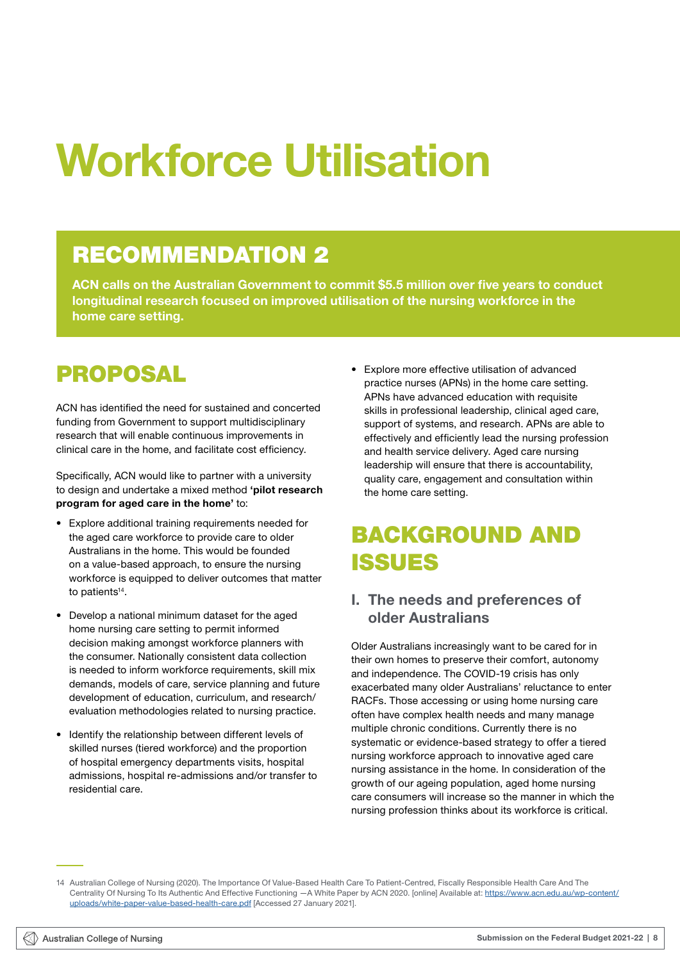# <span id="page-10-0"></span>Workforce Utilisation

## RECOMMENDATION 2

ACN calls on the Australian Government to commit \$5.5 million over five years to conduct longitudinal research focused on improved utilisation of the nursing workforce in the home care setting.

## PROPOSAL

ACN has identified the need for sustained and concerted funding from Government to support multidisciplinary research that will enable continuous improvements in clinical care in the home, and facilitate cost efficiency.

Specifically, ACN would like to partner with a university to design and undertake a mixed method 'pilot research program for aged care in the home' to:

- Explore additional training requirements needed for the aged care workforce to provide care to older Australians in the home. This would be founded on a value-based approach, to ensure the nursing workforce is equipped to deliver outcomes that matter to patients<sup>14</sup>.
- Develop a national minimum dataset for the aged home nursing care setting to permit informed decision making amongst workforce planners with the consumer. Nationally consistent data collection is needed to inform workforce requirements, skill mix demands, models of care, service planning and future development of education, curriculum, and research/ evaluation methodologies related to nursing practice.
- Identify the relationship between different levels of skilled nurses (tiered workforce) and the proportion of hospital emergency departments visits, hospital admissions, hospital re-admissions and/or transfer to residential care.

• Explore more effective utilisation of advanced practice nurses (APNs) in the home care setting. APNs have advanced education with requisite skills in professional leadership, clinical aged care, support of systems, and research. APNs are able to effectively and efficiently lead the nursing profession and health service delivery. Aged care nursing leadership will ensure that there is accountability, quality care, engagement and consultation within the home care setting.

## BACKGROUND AND ISSUES

### I. The needs and preferences of older Australians

Older Australians increasingly want to be cared for in their own homes to preserve their comfort, autonomy and independence. The COVID-19 crisis has only exacerbated many older Australians' reluctance to enter RACFs. Those accessing or using home nursing care often have complex health needs and many manage multiple chronic conditions. Currently there is no systematic or evidence-based strategy to offer a tiered nursing workforce approach to innovative aged care nursing assistance in the home. In consideration of the growth of our ageing population, aged home nursing care consumers will increase so the manner in which the nursing profession thinks about its workforce is critical.

<sup>14</sup> Australian College of Nursing (2020). The Importance Of Value-Based Health Care To Patient-Centred, Fiscally Responsible Health Care And The Centrality Of Nursing To Its Authentic And Effective Functioning -A White Paper by ACN 2020. [online] Available at: [https://www.acn.edu.au/wp-content/](https://www.acn.edu.au/wp-content/uploads/white-paper-value-based-health-care.pdf) [uploads/white-paper-value-based-health-care.pdf](https://www.acn.edu.au/wp-content/uploads/white-paper-value-based-health-care.pdf) [Accessed 27 January 2021].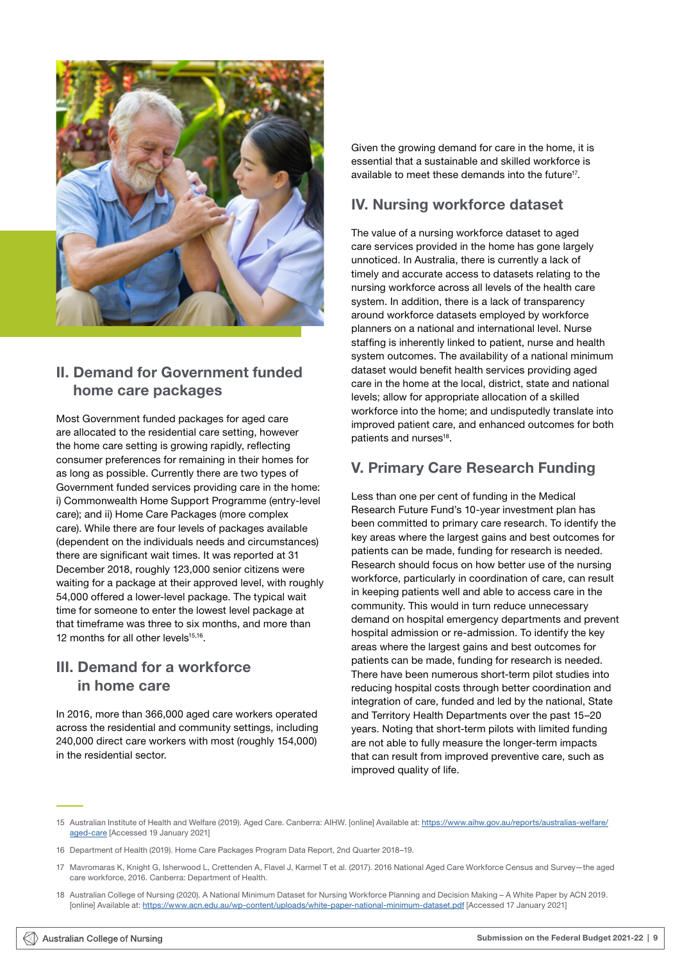

### II. Demand for Government funded home care packages

Most Government funded packages for aged care are allocated to the residential care setting, however the home care setting is growing rapidly, reflecting consumer preferences for remaining in their homes for as long as possible. Currently there are two types of Government funded services providing care in the home: i) Commonwealth Home Support Programme (entry-level care); and ii) Home Care Packages (more complex care). While there are four levels of packages available (dependent on the individuals needs and circumstances) there are significant wait times. It was reported at 31 December 2018, roughly 123,000 senior citizens were waiting for a package at their approved level, with roughly 54,000 offered a lower-level package. The typical wait time for someone to enter the lowest level package at that timeframe was three to six months, and more than 12 months for all other levels<sup>15,16</sup>.

### III. Demand for a workforce in home care

In 2016, more than 366,000 aged care workers operated across the residential and community settings, including 240,000 direct care workers with most (roughly 154,000) in the residential sector.

Given the growing demand for care in the home, it is essential that a sustainable and skilled workforce is available to meet these demands into the future<sup>17</sup>.

## IV. Nursing workforce dataset

The value of a nursing workforce dataset to aged care services provided in the home has gone largely unnoticed. In Australia, there is currently a lack of timely and accurate access to datasets relating to the nursing workforce across all levels of the health care system. In addition, there is a lack of transparency around workforce datasets employed by workforce planners on a national and international level. Nurse staffing is inherently linked to patient, nurse and health system outcomes. The availability of a national minimum dataset would benefit health services providing aged care in the home at the local, district, state and national levels; allow for appropriate allocation of a skilled workforce into the home; and undisputedly translate into improved patient care, and enhanced outcomes for both patients and nurses<sup>18</sup>.

## V. Primary Care Research Funding

Less than one per cent of funding in the Medical Research Future Fund's 10-year investment plan has been committed to primary care research. To identify the key areas where the largest gains and best outcomes for patients can be made, funding for research is needed. Research should focus on how better use of the nursing workforce, particularly in coordination of care, can result in keeping patients well and able to access care in the community. This would in turn reduce unnecessary demand on hospital emergency departments and prevent hospital admission or re-admission. To identify the key areas where the largest gains and best outcomes for patients can be made, funding for research is needed. There have been numerous short-term pilot studies into reducing hospital costs through better coordination and integration of care, funded and led by the national, State and Territory Health Departments over the past 15–20 years. Noting that short-term pilots with limited funding are not able to fully measure the longer-term impacts that can result from improved preventive care, such as improved quality of life.

- 15 Australian Institute of Health and Welfare (2019). Aged Care. Canberra: AIHW. [online] Available at: [https://www.aihw.gov.au/reports/australias-welfare/](https://www.aihw.gov.au/reports/australias-welfare/aged-care) [aged-care](https://www.aihw.gov.au/reports/australias-welfare/aged-care) [Accessed 19 January 2021]
- 16 Department of Health (2019). Home Care Packages Program Data Report, 2nd Quarter 2018–19.
- 17 Mavromaras K, Knight G, Isherwood L, Crettenden A, Flavel J, Karmel T et al. (2017). 2016 National Aged Care Workforce Census and Survey—the aged care workforce, 2016. Canberra: Department of Health.
- 18 Australian College of Nursing (2020). A National Minimum Dataset for Nursing Workforce Planning and Decision Making A White Paper by ACN 2019. [online] Available at:<https://www.acn.edu.au/wp-content/uploads/white-paper-national-minimum-dataset.pdf>[Accessed 17 January 2021]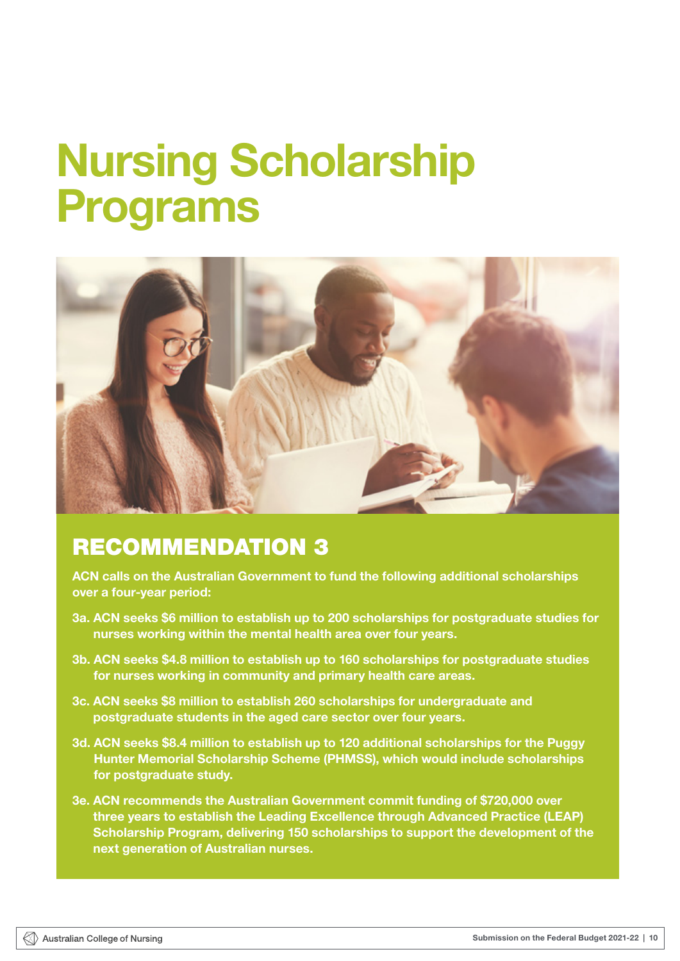## <span id="page-12-0"></span>Nursing Scholarship Programs



## RECOMMENDATION 3

ACN calls on the Australian Government to fund the following additional scholarships over a four-year period:

- 3a. ACN seeks \$6 million to establish up to 200 scholarships for postgraduate studies for nurses working within the mental health area over four years.
- 3b. ACN seeks \$4.8 million to establish up to 160 scholarships for postgraduate studies for nurses working in community and primary health care areas.
- 3c. ACN seeks \$8 million to establish 260 scholarships for undergraduate and postgraduate students in the aged care sector over four years.
- 3d. ACN seeks \$8.4 million to establish up to 120 additional scholarships for the Puggy Hunter Memorial Scholarship Scheme (PHMSS), which would include scholarships for postgraduate study.
- 3e. ACN recommends the Australian Government commit funding of \$720,000 over three years to establish the Leading Excellence through Advanced Practice (LEAP) Scholarship Program, delivering 150 scholarships to support the development of the next generation of Australian nurses.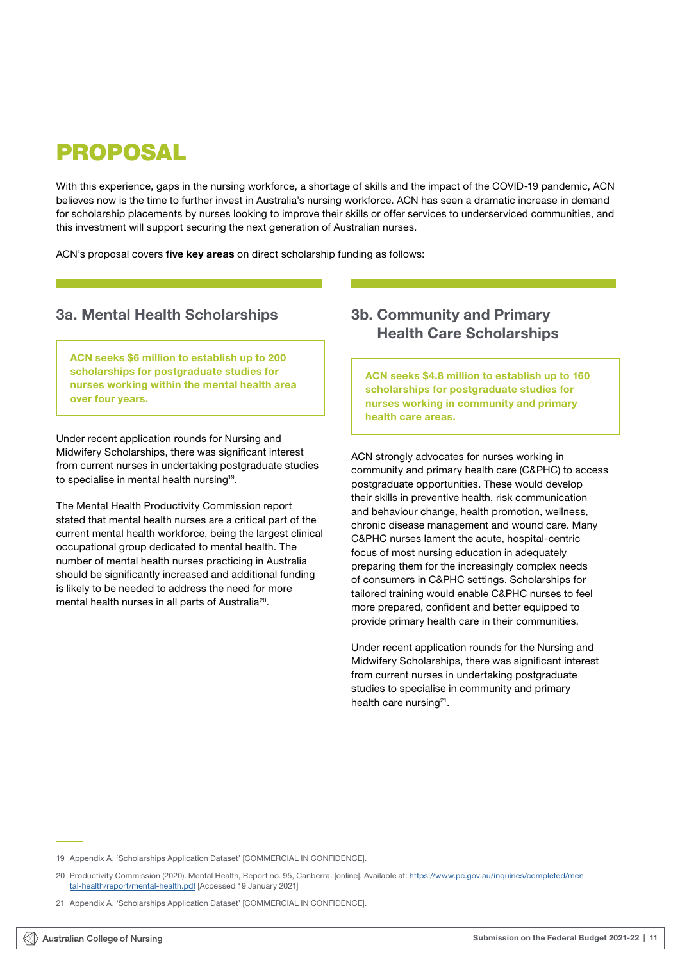## <span id="page-13-0"></span>PROPOSAL

With this experience, gaps in the nursing workforce, a shortage of skills and the impact of the COVID-19 pandemic, ACN believes now is the time to further invest in Australia's nursing workforce. ACN has seen a dramatic increase in demand for scholarship placements by nurses looking to improve their skills or offer services to underserviced communities, and this investment will support securing the next generation of Australian nurses.

ACN's proposal covers five key areas on direct scholarship funding as follows:

### 3a. Mental Health Scholarships

ACN seeks \$6 million to establish up to 200 scholarships for postgraduate studies for nurses working within the mental health area over four years.

Under recent application rounds for Nursing and Midwifery Scholarships, there was significant interest from current nurses in undertaking postgraduate studies to specialise in mental health nursing<sup>19</sup>.

The Mental Health Productivity Commission report stated that mental health nurses are a critical part of the current mental health workforce, being the largest clinical occupational group dedicated to mental health. The number of mental health nurses practicing in Australia should be significantly increased and additional funding is likely to be needed to address the need for more mental health nurses in all parts of Australia<sup>20</sup>.

## 3b. Community and Primary Health Care Scholarships

ACN seeks \$4.8 million to establish up to 160 scholarships for postgraduate studies for nurses working in community and primary health care areas.

ACN strongly advocates for nurses working in community and primary health care (C&PHC) to access postgraduate opportunities. These would develop their skills in preventive health, risk communication and behaviour change, health promotion, wellness, chronic disease management and wound care. Many C&PHC nurses lament the acute, hospital-centric focus of most nursing education in adequately preparing them for the increasingly complex needs of consumers in C&PHC settings. Scholarships for tailored training would enable C&PHC nurses to feel more prepared, confident and better equipped to provide primary health care in their communities.

Under recent application rounds for the Nursing and Midwifery Scholarships, there was significant interest from current nurses in undertaking postgraduate studies to specialise in community and primary health care nursing<sup>21</sup>.

<sup>19</sup> Appendix A, 'Scholarships Application Dataset' [COMMERCIAL IN CONFIDENCE].

<sup>20</sup> Productivity Commission (2020). Mental Health, Report no. 95, Canberra. [online]. Available at: [https://www.pc.gov.au/inquiries/completed/men](https://www.pc.gov.au/inquiries/completed/mental-health/report/mental-health.pdf)[tal-health/report/mental-health.pdf](https://www.pc.gov.au/inquiries/completed/mental-health/report/mental-health.pdf) [Accessed 19 January 2021]

<sup>21</sup> Appendix A, 'Scholarships Application Dataset' [COMMERCIAL IN CONFIDENCE].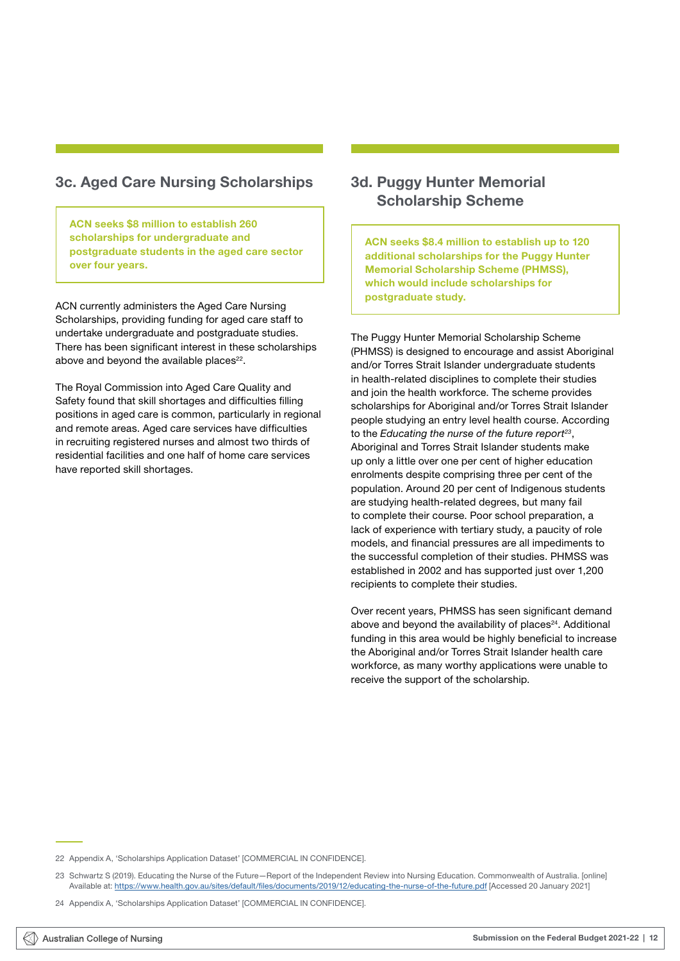## <span id="page-14-0"></span>3c. Aged Care Nursing Scholarships

ACN seeks \$8 million to establish 260 scholarships for undergraduate and postgraduate students in the aged care sector over four years.

ACN currently administers the Aged Care Nursing Scholarships, providing funding for aged care staff to undertake undergraduate and postgraduate studies. There has been significant interest in these scholarships above and beyond the available places $22$ .

The Royal Commission into Aged Care Quality and Safety found that skill shortages and difficulties filling positions in aged care is common, particularly in regional and remote areas. Aged care services have difficulties in recruiting registered nurses and almost two thirds of residential facilities and one half of home care services have reported skill shortages.

## 3d. Puggy Hunter Memorial Scholarship Scheme

ACN seeks \$8.4 million to establish up to 120 additional scholarships for the Puggy Hunter Memorial Scholarship Scheme (PHMSS), which would include scholarships for postgraduate study.

The Puggy Hunter Memorial Scholarship Scheme (PHMSS) is designed to encourage and assist Aboriginal and/or Torres Strait Islander undergraduate students in health-related disciplines to complete their studies and join the health workforce. The scheme provides scholarships for Aboriginal and/or Torres Strait Islander people studying an entry level health course. According to the *Educating the nurse of the future report23*, Aboriginal and Torres Strait Islander students make up only a little over one per cent of higher education enrolments despite comprising three per cent of the population. Around 20 per cent of Indigenous students are studying health-related degrees, but many fail to complete their course. Poor school preparation, a lack of experience with tertiary study, a paucity of role models, and financial pressures are all impediments to the successful completion of their studies. PHMSS was established in 2002 and has supported just over 1,200 recipients to complete their studies.

Over recent years, PHMSS has seen significant demand above and beyond the availability of places<sup>24</sup>. Additional funding in this area would be highly beneficial to increase the Aboriginal and/or Torres Strait Islander health care workforce, as many worthy applications were unable to receive the support of the scholarship.

22 Appendix A, 'Scholarships Application Dataset' [COMMERCIAL IN CONFIDENCE].

23 Schwartz S (2019). Educating the Nurse of the Future—Report of the Independent Review into Nursing Education. Commonwealth of Australia. [online] Available at:<https://www.health.gov.au/sites/default/files/documents/2019/12/educating-the-nurse-of-the-future.pdf> [Accessed 20 January 2021]

<sup>24</sup> Appendix A, 'Scholarships Application Dataset' [COMMERCIAL IN CONFIDENCE].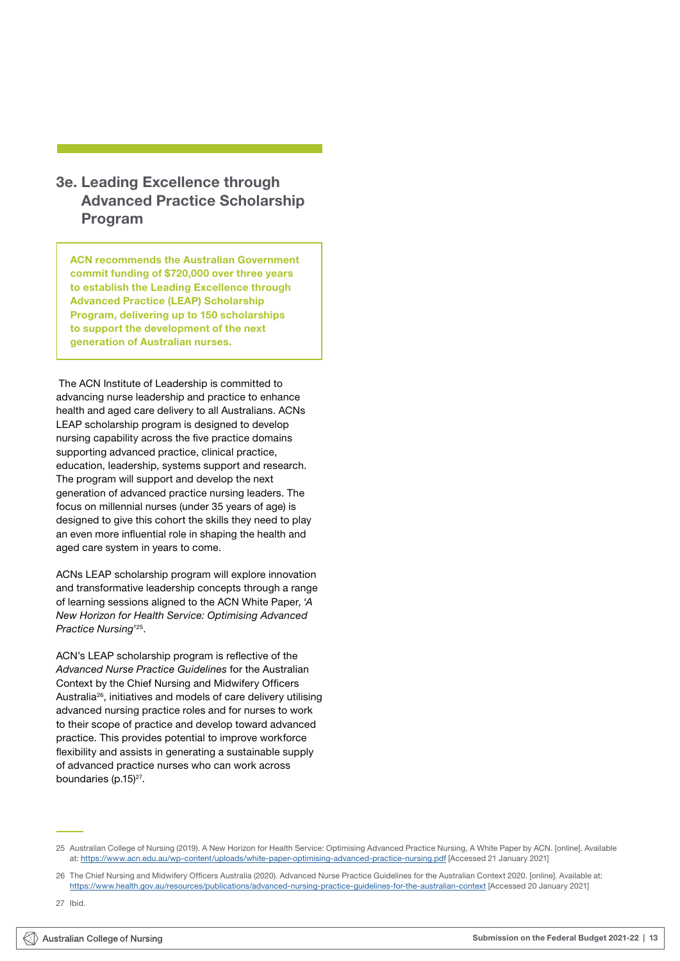## <span id="page-15-0"></span>3e. Leading Excellence through Advanced Practice Scholarship Program

ACN recommends the Australian Government commit funding of \$720,000 over three years to establish the Leading Excellence through Advanced Practice (LEAP) Scholarship Program, delivering up to 150 scholarships to support the development of the next generation of Australian nurses.

 The ACN Institute of Leadership is committed to advancing nurse leadership and practice to enhance health and aged care delivery to all Australians. ACNs LEAP scholarship program is designed to develop nursing capability across the five practice domains supporting advanced practice, clinical practice, education, leadership, systems support and research. The program will support and develop the next generation of advanced practice nursing leaders. The focus on millennial nurses (under 35 years of age) is designed to give this cohort the skills they need to play an even more influential role in shaping the health and aged care system in years to come.

ACNs LEAP scholarship program will explore innovation and transformative leadership concepts through a range of learning sessions aligned to the ACN White Paper, '*A New Horizon for Health Service: Optimising Advanced Practice Nursing*' 25.

ACN's LEAP scholarship program is reflective of the *Advanced Nurse Practice Guidelines* for the Australian Context by the Chief Nursing and Midwifery Officers Australia26, initiatives and models of care delivery utilising advanced nursing practice roles and for nurses to work to their scope of practice and develop toward advanced practice. This provides potential to improve workforce flexibility and assists in generating a sustainable supply of advanced practice nurses who can work across boundaries (p.15)<sup>27</sup>.

<sup>25</sup> Australian College of Nursing (2019). A New Horizon for Health Service: Optimising Advanced Practice Nursing, A White Paper by ACN. [online]. Available at: <https://www.acn.edu.au/wp-content/uploads/white-paper-optimising-advanced-practice-nursing.pdf>[Accessed 21 January 2021]

<sup>26</sup> The Chief Nursing and Midwifery Officers Australia (2020). Advanced Nurse Practice Guidelines for the Australian Context 2020. [online]. Available at: <https://www.health.gov.au/resources/publications/advanced-nursing-practice-guidelines-for-the-australian-context>[Accessed 20 January 2021]

<sup>27</sup> Ibid.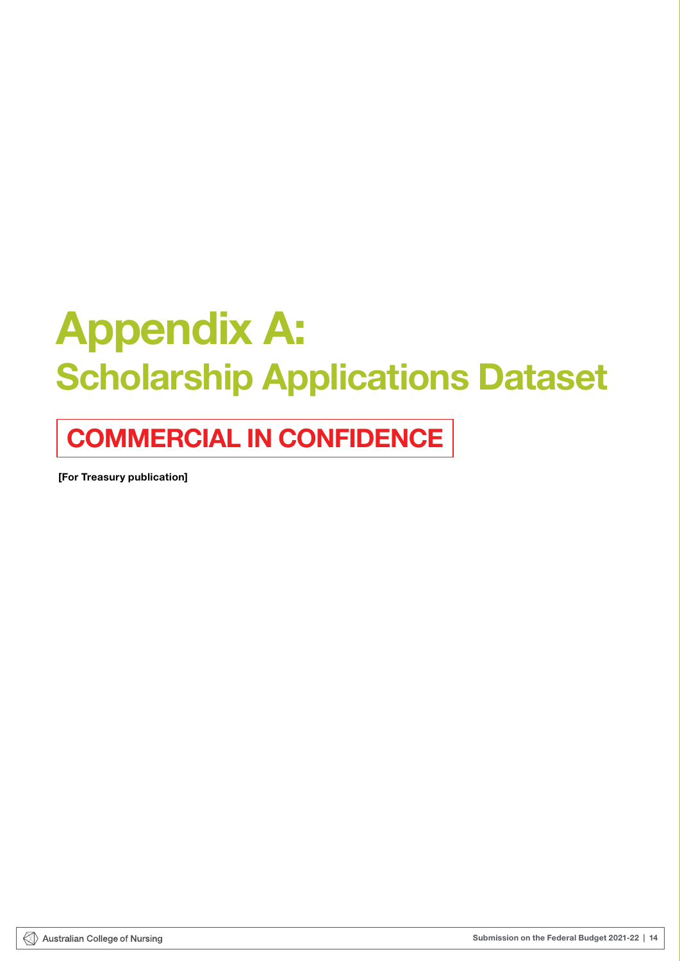# <span id="page-16-0"></span>Appendix A: Scholarship Applications Dataset

## COMMERCIAL IN CONFIDENCE

[For Treasury publication]